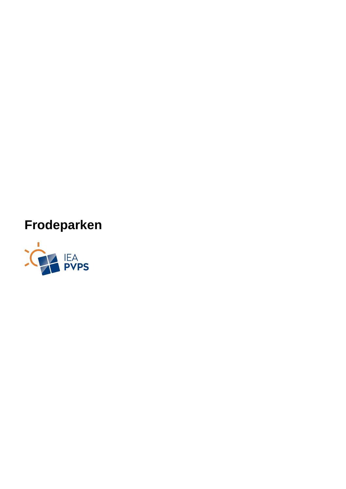# **Frodeparken**

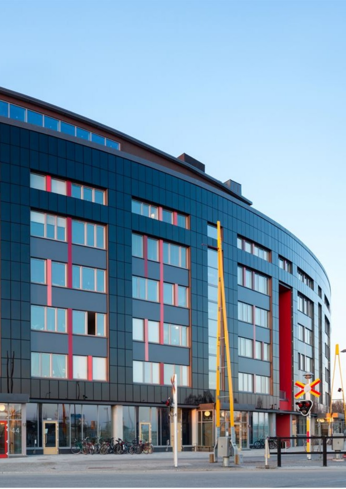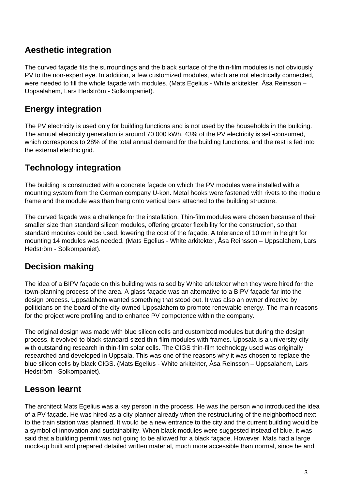### **Aesthetic integration**

The curved façade fits the surroundings and the black surface of the thin-film modules is not obviously PV to the non-expert eye. In addition, a few customized modules, which are not electrically connected, were needed to fill the whole façade with modules. (Mats Egelius - White arkitekter, Åsa Reinsson – Uppsalahem, Lars Hedström - Solkompaniet).

# **Energy integration**

The PV electricity is used only for building functions and is not used by the households in the building. The annual electricity generation is around 70 000 kWh. 43% of the PV electricity is self-consumed, which corresponds to 28% of the total annual demand for the building functions, and the rest is fed into the external electric grid.

# **Technology integration**

The building is constructed with a concrete façade on which the PV modules were installed with a mounting system from the German company U-kon. Metal hooks were fastened with rivets to the module frame and the module was than hang onto vertical bars attached to the building structure.

The curved façade was a challenge for the installation. Thin-film modules were chosen because of their smaller size than standard silicon modules, offering greater flexibility for the construction, so that standard modules could be used, lowering the cost of the façade. A tolerance of 10 mm in height for mounting 14 modules was needed. (Mats Egelius - White arkitekter, Åsa Reinsson – Uppsalahem, Lars Hedström - Solkompaniet).

#### **Decision making**

The idea of a BIPV façade on this building was raised by White arkitekter when they were hired for the town-planning process of the area. A glass façade was an alternative to a BIPV façade far into the design process. Uppsalahem wanted something that stood out. It was also an owner directive by politicians on the board of the city-owned Uppsalahem to promote renewable energy. The main reasons for the project were profiling and to enhance PV competence within the company.

The original design was made with blue silicon cells and customized modules but during the design process, it evolved to black standard-sized thin-film modules with frames. Uppsala is a university city with outstanding research in thin-film solar cells. The CIGS thin-film technology used was originally researched and developed in Uppsala. This was one of the reasons why it was chosen to replace the blue silicon cells by black CIGS. (Mats Egelius - White arkitekter, Åsa Reinsson – Uppsalahem, Lars Hedström -Solkompaniet).

#### **Lesson learnt**

The architect Mats Egelius was a key person in the process. He was the person who introduced the idea of a PV façade. He was hired as a city planner already when the restructuring of the neighborhood next to the train station was planned. It would be a new entrance to the city and the current building would be a symbol of innovation and sustainability. When black modules were suggested instead of blue, it was said that a building permit was not going to be allowed for a black façade. However, Mats had a large mock-up built and prepared detailed written material, much more accessible than normal, since he and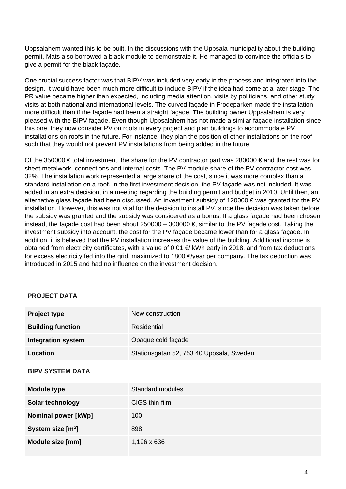Uppsalahem wanted this to be built. In the discussions with the Uppsala municipality about the building permit, Mats also borrowed a black module to demonstrate it. He managed to convince the officials to give a permit for the black façade.

One crucial success factor was that BIPV was included very early in the process and integrated into the design. It would have been much more difficult to include BIPV if the idea had come at a later stage. The PR value became higher than expected, including media attention, visits by politicians, and other study visits at both national and international levels. The curved façade in Frodeparken made the installation more difficult than if the façade had been a straight façade. The building owner Uppsalahem is very pleased with the BIPV façade. Even though Uppsalahem has not made a similar façade installation since this one, they now consider PV on roofs in every project and plan buildings to accommodate PV installations on roofs in the future. For instance, they plan the position of other installations on the roof such that they would not prevent PV installations from being added in the future.

Of the 350000 € total investment, the share for the PV contractor part was 280000 € and the rest was for sheet metalwork, connections and internal costs. The PV module share of the PV contractor cost was 32%. The installation work represented a large share of the cost, since it was more complex than a standard installation on a roof. In the first investment decision, the PV façade was not included. It was added in an extra decision, in a meeting regarding the building permit and budget in 2010. Until then, an alternative glass façade had been discussed. An investment subsidy of 120000 € was granted for the PV installation. However, this was not vital for the decision to install PV, since the decision was taken before the subsidy was granted and the subsidy was considered as a bonus. If a glass façade had been chosen instead, the façade cost had been about 250000 – 300000 €, similar to the PV façade cost. Taking the investment subsidy into account, the cost for the PV façade became lower than for a glass façade. In addition, it is believed that the PV installation increases the value of the building. Additional income is obtained from electricity certificates, with a value of 0.01 €/ kWh early in 2018, and from tax deductions for excess electricity fed into the grid, maximized to 1800 €/year per company. The tax deduction was introduced in 2015 and had no influence on the investment decision.

#### **PROJECT DATA**

| <b>Project type</b>           | New construction                         |
|-------------------------------|------------------------------------------|
| <b>Building function</b>      | Residential                              |
| <b>Integration system</b>     | Opaque cold façade                       |
| Location                      | Stationsgatan 52, 753 40 Uppsala, Sweden |
| <b>BIPV SYSTEM DATA</b>       |                                          |
| <b>Module type</b>            | Standard modules                         |
| Solar technology              | CIGS thin-film                           |
| <b>Nominal power [kWp]</b>    | 100                                      |
| System size [m <sup>2</sup> ] | 898                                      |
| Module size [mm]              | 1,196 x 636                              |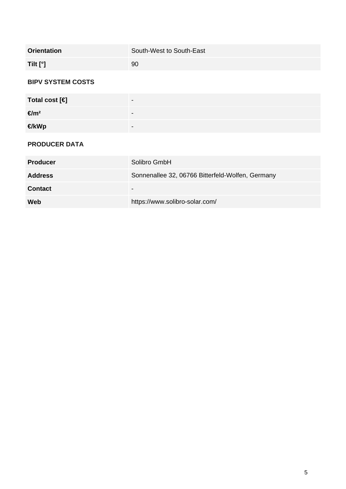| <b>Orientation</b>       | South-West to South-East                         |
|--------------------------|--------------------------------------------------|
| Tilt $[°]$               | 90                                               |
| <b>BIPV SYSTEM COSTS</b> |                                                  |
| Total cost [€]           | $\overline{\phantom{a}}$                         |
| €/m <sup>2</sup>         | $\overline{\phantom{a}}$                         |
| €/kWp                    | $\overline{\phantom{a}}$                         |
| <b>PRODUCER DATA</b>     |                                                  |
| <b>Producer</b>          | Solibro GmbH                                     |
| <b>Address</b>           | Sonnenallee 32, 06766 Bitterfeld-Wolfen, Germany |
| <b>Contact</b>           | $\overline{\phantom{a}}$                         |
| Web                      | https://www.solibro-solar.com/                   |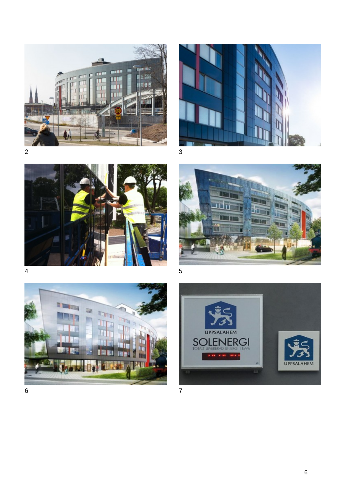